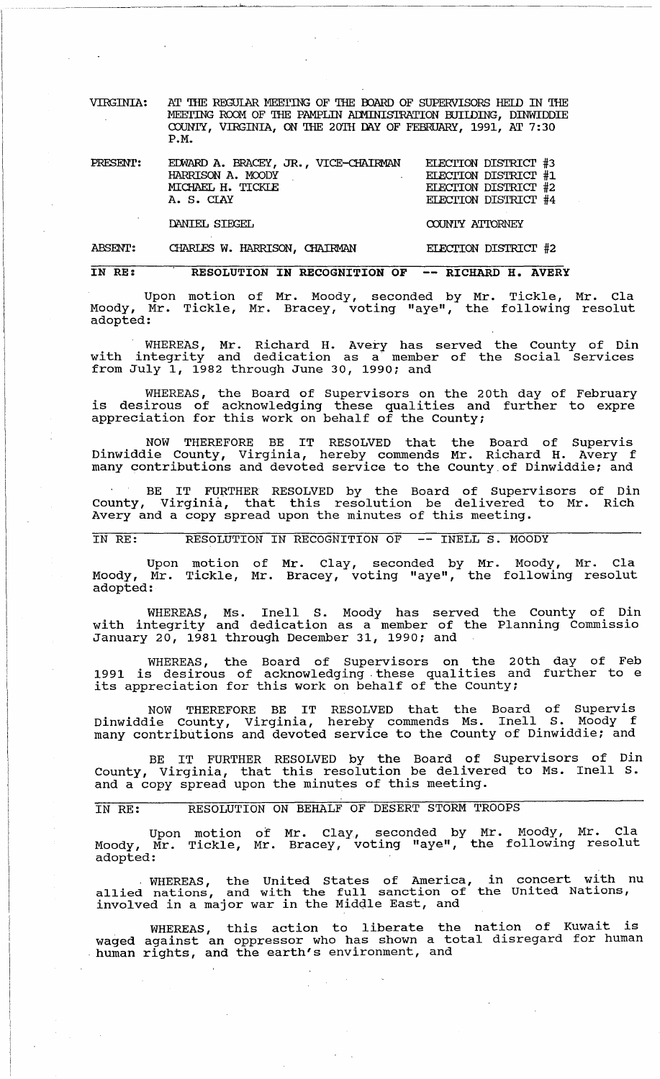| VIRGINTA:  | AT THE REGULAR MEETING OF THE BOARD OF SUPERVISORS HELD IN THE |
|------------|----------------------------------------------------------------|
| <b>A</b> 1 | MEETING ROOM OF THE PAMPLIN ADMINISTRATION BUILDING, DINWIDDIE |
|            | COUNTY, VIRGINIA, ON THE 20TH DAY OF FEBRUARY, 1991, AT 7:30   |
|            | P.M.                                                           |

.4

| PRESENT: | EDWARD A. BRACEY, JR., VICE-CHAIRMAN<br>HARRISON A. MOODY<br>MICHAEL H. TICKLE<br>A. S. CIAY | ELECTION DISTRICT #3<br>ELECTION DISTRICT #1<br>ELECTION DISTRICT #2<br>ELECTION DISTRICT #4 |
|----------|----------------------------------------------------------------------------------------------|----------------------------------------------------------------------------------------------|
|          | DANTEL STEGEL                                                                                | COUNTY ATTORNEY                                                                              |

ABSENT: CHARLES W. HARRISON, CHAIRMAN EIECTION DISTRICT #2

IN RE: RESOLUTION IN RECOGNITION OF **--** RICHARD H. AVERY

Upon Moody, Mr. adopted: motion Tickle, of Mr. Moody, seconded by Mr. Tickle, Mr. CIa Mr. Bracey, voting "aye", the following resolut

WHEREAS, Mr. Richard H. Avery has served the County of Din with integrity and dedication as a member of the Social Services from July 1, 1982 through June 30, 1990; and

WHEREAS, the Board of Supervisors on the 20th day of February is desirous of acknowledging these qualities and further to expre appreciation for this work on behalf of the County;

NOW THEREFORE BE IT RESOLVED that the Board of Supervis Dinwiddie County, Virginia, hereby commends Mr. Richard H. Avery f many contributions and devoted service to the County of Dinwiddie; and

BE IT FURTHER RESOLVED by the Board of supervisors of Din County, Virginia, that this resolution be delivered to Mr. Rich Avery and a copy spread upon the minutes of this meeting.

IN RE: RESOLUTION IN RECOGNITION OF -- INELL S. MOODY

Upon Moody, Mr. adopted: motion Tickle, of Mr. Mr. Clay, seconded by Mr. Moody, Mr. CIa Bracey, voting "aye", the following resolut

WHEREAS, Ms. Inell S. Moody has served the county of Din with integrity and dedication as a member of the Planning Commissio January 20, 1981 through December 31, 1990; and

WHEREAS, the Board of Supervisors on the 20th day of Feb whikkas, the board of supervisors on the zoon day of reb<br>1991 is desirous of acknowledging these qualities and further to e 1991 Is desirous of acknowledging these quarities an<br>its appreciation for this work on behalf of the County;

NOW THEREFORE BE IT RESOLVED that the Board of supervis Dinwiddie County, Virginia, hereby commends Ms. Inell S. Moody f many contributions and devoted service to the County of Dinwiddie; and

BE IT FURTHER RESOLVED by the Board of Supervisors of Din County, Virginia, that this resolution be delivered to Ms. Inell S. and a copy spread upon the minutes of this meeting.

### IN RE: RESOLUTION ON BEHALF OF DESERT STORM TROOPS

Upon Moody, Mr. adopted: motion Tickle, of Mr. Mr. Clay, seconded by Mr. Moody, Mr. CIa Bracey, voting "aye", the following resolut

. WHEREAS, the united states of America, in concert with nu allied nations, and with the full sanction of the United Nations, involved in a major war in the Midqle East, and

WHEREAS, this action to liberate the nation of Kuwait is waged against an oppressor who has shown a total disregard for human . waged against an oppressor who has shown a see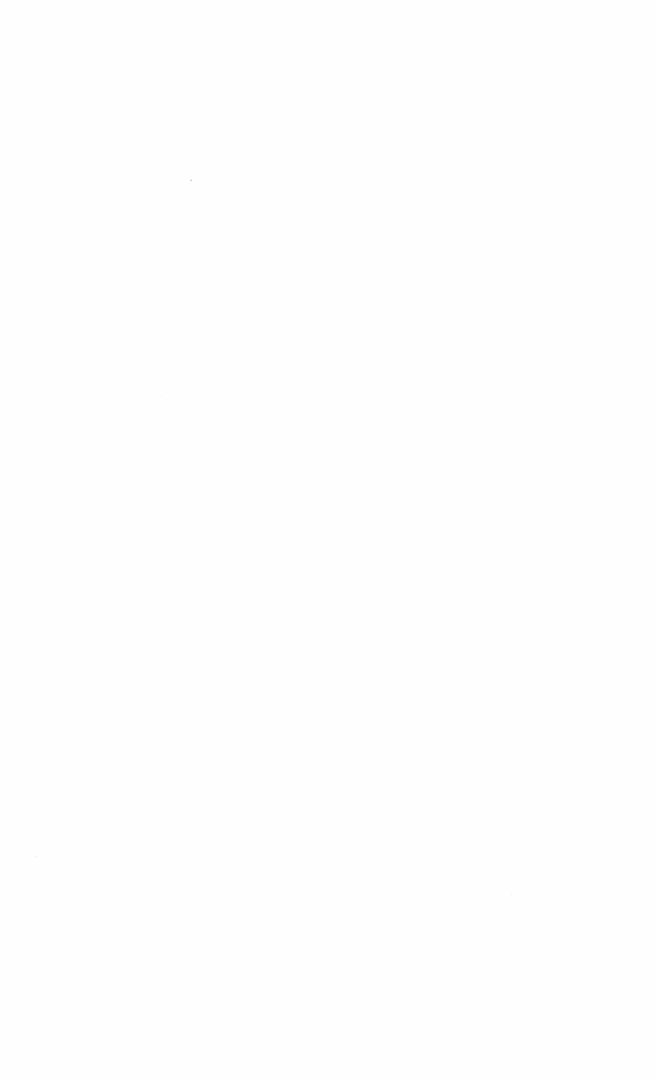$\mathcal{L}^{\text{max}}_{\text{max}}$  and  $\mathcal{L}^{\text{max}}_{\text{max}}$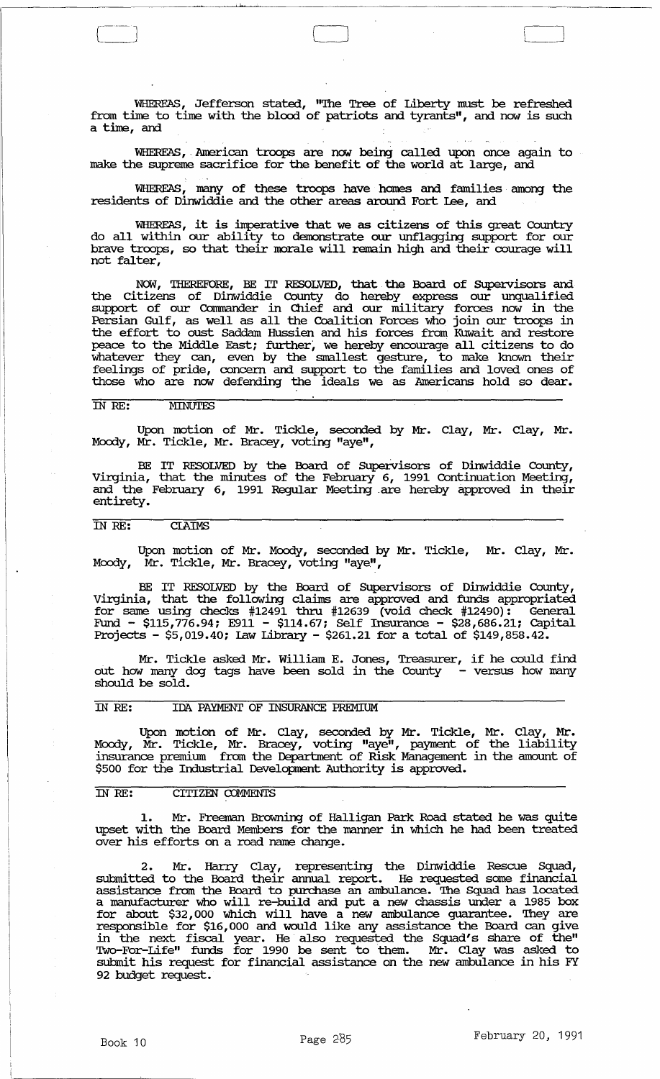WHEREAS, Jefferson stated, "The Tree of Liberty must be refreshed from time to time with the blood of patriots and tyrants", and now is such a time, and

LJ <sup>J</sup>

!J.

WHEREAS, American troops are now being called upon once again to make the supreme sacrifice for the benefit of the world at large, and

WHEREAS, many of these troops have homes and families among the residents of Dinwiddie and the other areas around Fort Lee, and

WHEREAS, it is imperative that we as citizens of this great Country do all within our ability to demonstrate our unflagging support for our brave troops, so that their morale will remain high and their courage will not falter,

NOW, *THEREFORE,* BE IT RESOLVED, that the Board of SUpervisors and the Citizens of Dinwiddie County do hereby express our unqualified support of our Commander in Chief and our military forces now in the Persian Gulf, as well as all the Coalition Forces who join our troops in the effort to oust Saddam Hussien and his forces from Kuwait and restore peace to the Middle East; further, we hereby encourage all citizens to do whatever they can, even by the smallest gesture, to make known their feelings of pride, concern and support to the families and loved ones of those who are now defending the ideals we as Americans hold so dear.

# m *RE: MINUTES*

Upon motion of Mr. Tickle, seconded by Mr. Clay, Mr. Clay, Mr. Moody, Mr. Tickle, Mr. Bracey, voting "aye",

BE IT RESOLVED by the Board of Supervisors of Dinwiddie County, Virginia, that the minutes of the February 6, 1991 Continuation Meeting, and the February 6, 1991 Regular Meeting are hereby approved in their entirety.

# m *RE:* ClAIMS

Upon motion of Mr. Moody, seconded by Mr. Tickle, Mr. Clay, Mr. Moody, Mr. Tickle, Mr. Bracey, voting "aye",

BE IT RESOLVED by the Board of SUpervisors of Dinwiddie County, Virginia, that the following claims are approved and funds appropriated for same using checks #12491 thru #12639 (void check #12490): General Fund - \$115,776.94; E911 - \$114.67; Self Insurance - \$28,686.21; capital Projects - \$5,019.40; Law Library - \$261.21 for a total of \$149,858.42.

Mr. Tickle asked Mr. William E. Jones, Treasurer, if he could find out how many dog tags have been sold in the County - versus how many should be sold.

## m *RE:* IDA PAYMENT OF mSURANCE PREMIUM

Upon motion of Mr. Clay, seconded by Mr. Tickle, Mr. Clay, Mr. Moody, Mr. Tickle, Mr. Bracey, voting "aye", payment of the liability insurance premium from the Department of Risk Management in the amount of \$500 for the Industrial Development Authority is approved.

## IN RE: CITIZEN COMMENTS

1. Mr. Freeman Browning of Halligan Park Road stated he was quite upset with the Board Members for the manner in which he had been treated over his efforts on a road name change.

2. Mr. Harry Clay, representing the Dinwiddie Rescue Squad, submitted to the Board their annual report. He requested some financial assistance from the Board to purchase an ambulance. '!he Squad has located a manufacturer who will re-build and put a new chassis under a 1985 box for about \$32,000 which will have a new ambulance guarantee. They are responsible for \$16,000 and would like any assistance the Board can give in the next fiscal year. He· also requested the Squad's share of . the" 'IWo-For-Life" funds for 1990 be sent to them. Mr. Clay was asked to submit his request for financial assistance on the new ambulance in his FY 92 budget request.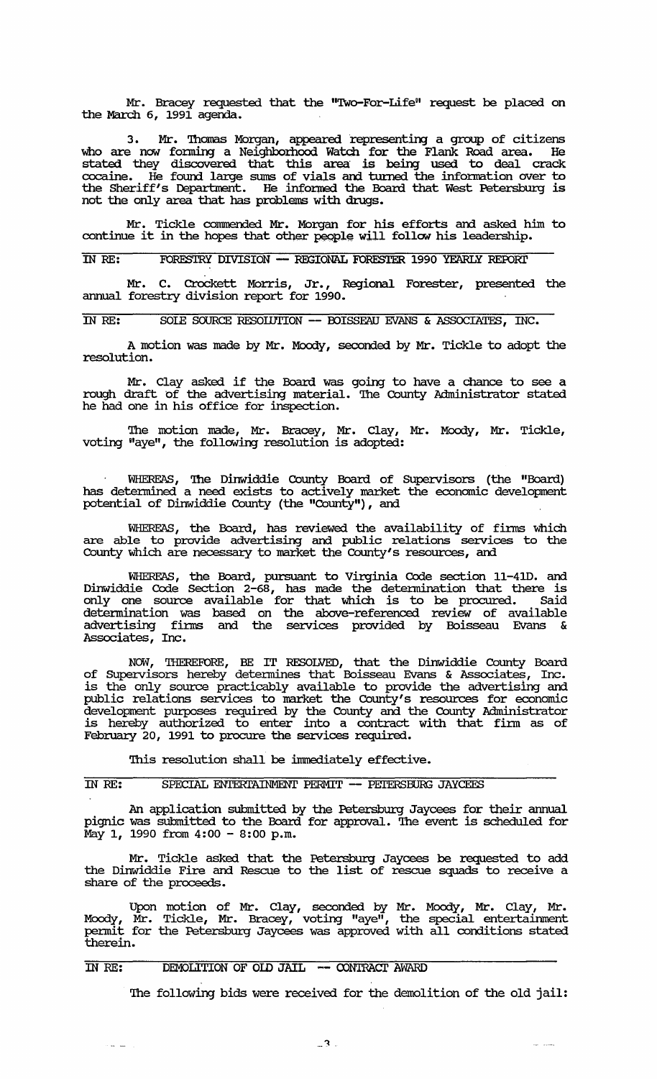Mr. Bracey requested that the "Two-For-Life" request be placed on the March 6, 1991 agenda.

3. Mr. Thomas Morgan, appeared representing a group of citizens who are now forming a Neighborhood Watch for the Flank Road area. He stated they discovered that this area is being used to deal crack cocaine. He found large sums of vials and turned the information over to the Sheriff's Department. He informed the Board that West Petersburg is not the only area that has problems with drugs.

Mr. Tickle commended Mr. Morgan for his efforts and asked him to continue it in the hopes that other people will follow his leadership.

IN RE: FORESTRY DIVISION -- REGIONAL FORESTER 1990 YEARLY REPORT

Mr. C. Crockett Morris, Jr., Regional Forester, presented the armual forestry division report for 1990.

IN RE: SOlE SOURCE RESOIIJTION -- OOISSEAU EVANS & *ASSOCIATES,* INC.

A motion was made by Mr. Moody, seconded by Mr. Tickle to adopt the resolution.

Mr. Clay asked if the Board was going to have a chance to see <sup>a</sup> rough draft of the advertising material. The county Administrator stated he had one in his office for inspection.

The motion made, Mr. Bracey, Mr. Clay, Mr. Moody, Mr. Tickle, voting "aye", the following resolution is adopted:

WHEREAS, The Dinwiddie County Board of Supervisors (the "Board) has detennined a need exists to actively market the economic development potential of Dinwiddie COunty (the "county"), am

WHEREAS, the Board, has reviewed the availability of fims which are able to provide advertising am public relations services to the County which are necessary to market the County's resources, and

WHEREAS, the Board, pursuant to Virginia COde section 11-410. am Dinwiddie COde Section 2-68, has made the detennination that there is only one source available for that which is to be procured. Said detennination was based on the above-referenced review of available advertising finns am the services provided by Boisseau Evans & Associates, Inc.

NOW, 'IHEREFORE, BE IT RESOLVED, that the Dinwiddie COunty Board of SUpervisors hereby detennines that Boisseau Evans & Associates, Inc. is the only source practicably available to provide the advertising and public relations services to market the COunty's resources for economic development purposes required by the COunty am the COunty Administrator is hereby authorized to enter into a contract with that firm as of February 20, 1991 to procure the services required.

This resolution shall be immediately effective.

IN RE: SPECIAL ENTERrAINMENT PERMIT - PEI'ERSBORG JAYCEES

An application submitted by the Petersburg Jaycees for their annual pignic was submitted to the Board for approval. 'Ihe event is scheduled for May 1, 1990 from 4:00 - 8:00 p.m.

Mr. Tickle asked that the Petersburg Jaycees be requested to add the Dinwiddie Fire and Rescue to the list of rescue squads to receive a share of the proceeds.

Upon motion of Mr. Clay, seconded by Mr. Moody, Mr. Clay, Mr. Moody, Mr. Tickle, Mr. Bracey, voting "aye", the special entertainment pennit for the Petersburg Jaycees was approved with all conditions stated therein.

## IN RE: DEMOLITION OF OLD JAIL -- CONTRACT AWARD

 $\alpha$  and  $\beta$  and  $\beta$  .

'Ihe following bids were received for the demolition of the old jail:

للمنداب